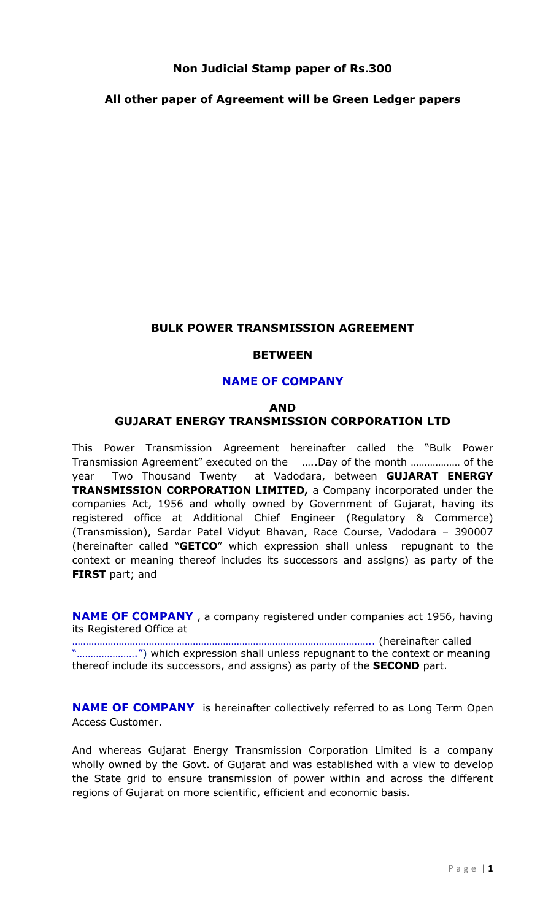## Non Judicial Stamp paper of Rs.300

## All other paper of Agreement will be Green Ledger papers

## BULK POWER TRANSMISSION AGREEMENT

#### **BETWEEN**

## NAME OF COMPANY

# AND GUJARAT ENERGY TRANSMISSION CORPORATION LTD

This Power Transmission Agreement hereinafter called the "Bulk Power Transmission Agreement" executed on the …..Day of the month ……………… of the year Two Thousand Twenty at Vadodara, between GUJARAT ENERGY TRANSMISSION CORPORATION LIMITED, a Company incorporated under the companies Act, 1956 and wholly owned by Government of Gujarat, having its registered office at Additional Chief Engineer (Regulatory & Commerce) (Transmission), Sardar Patel Vidyut Bhavan, Race Course, Vadodara – 390007 (hereinafter called "GETCO" which expression shall unless repugnant to the context or meaning thereof includes its successors and assigns) as party of the **FIRST** part; and

NAME OF COMPANY , a company registered under companies act 1956, having its Registered Office at

……………………………………………………………………………………………….. (hereinafter called "………………….") which expression shall unless repugnant to the context or meaning thereof include its successors, and assigns) as party of the **SECOND** part.

**NAME OF COMPANY** is hereinafter collectively referred to as Long Term Open Access Customer.

And whereas Gujarat Energy Transmission Corporation Limited is a company wholly owned by the Govt. of Gujarat and was established with a view to develop the State grid to ensure transmission of power within and across the different regions of Gujarat on more scientific, efficient and economic basis.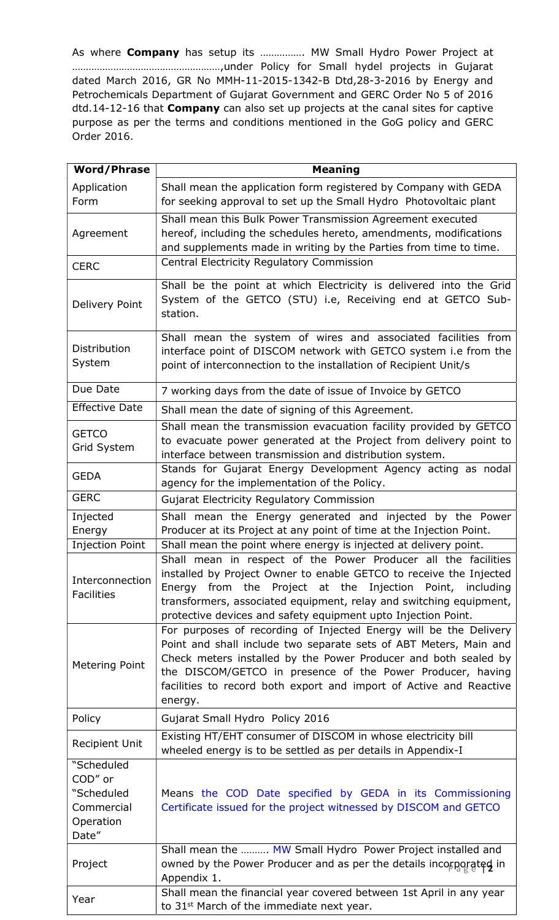As where Company has setup its ................ MW Small Hydro Power Project at ………………………………………………,under Policy for Small hydel projects in Gujarat dated March 2016, GR No MMH-11-2015-1342-B Dtd,28-3-2016 by Energy and Petrochemicals Department of Gujarat Government and GERC Order No 5 of 2016 dtd.14-12-16 that Company can also set up projects at the canal sites for captive purpose as per the terms and conditions mentioned in the GoG policy and GERC Order 2016.

| <b>Word/Phrase</b>                                                      | <b>Meaning</b>                                                                                                                                                                                                                                                                                                                                           |
|-------------------------------------------------------------------------|----------------------------------------------------------------------------------------------------------------------------------------------------------------------------------------------------------------------------------------------------------------------------------------------------------------------------------------------------------|
| Application<br>Form                                                     | Shall mean the application form registered by Company with GEDA<br>for seeking approval to set up the Small Hydro Photovoltaic plant                                                                                                                                                                                                                     |
| Agreement                                                               | Shall mean this Bulk Power Transmission Agreement executed<br>hereof, including the schedules hereto, amendments, modifications<br>and supplements made in writing by the Parties from time to time.                                                                                                                                                     |
| <b>CERC</b>                                                             | Central Electricity Regulatory Commission                                                                                                                                                                                                                                                                                                                |
| Delivery Point                                                          | Shall be the point at which Electricity is delivered into the Grid<br>System of the GETCO (STU) i.e, Receiving end at GETCO Sub-<br>station.                                                                                                                                                                                                             |
| Distribution<br>System                                                  | Shall mean the system of wires and associated facilities from<br>interface point of DISCOM network with GETCO system i.e from the<br>point of interconnection to the installation of Recipient Unit/s                                                                                                                                                    |
| Due Date                                                                | 7 working days from the date of issue of Invoice by GETCO                                                                                                                                                                                                                                                                                                |
| <b>Effective Date</b>                                                   | Shall mean the date of signing of this Agreement.                                                                                                                                                                                                                                                                                                        |
| <b>GETCO</b><br>Grid System                                             | Shall mean the transmission evacuation facility provided by GETCO<br>to evacuate power generated at the Project from delivery point to<br>interface between transmission and distribution system.                                                                                                                                                        |
| <b>GEDA</b>                                                             | Stands for Gujarat Energy Development Agency acting as nodal<br>agency for the implementation of the Policy.                                                                                                                                                                                                                                             |
| <b>GERC</b>                                                             | Gujarat Electricity Regulatory Commission                                                                                                                                                                                                                                                                                                                |
| Injected<br>Energy                                                      | Shall mean the Energy generated and injected by the Power<br>Producer at its Project at any point of time at the Injection Point.                                                                                                                                                                                                                        |
| <b>Injection Point</b>                                                  | Shall mean the point where energy is injected at delivery point.                                                                                                                                                                                                                                                                                         |
| Interconnection<br><b>Facilities</b>                                    | Shall mean in respect of the Power Producer all the facilities<br>installed by Project Owner to enable GETCO to receive the Injected<br>Energy from the Project at the Injection Point, including<br>transformers, associated equipment, relay and switching equipment,<br>protective devices and safety equipment upto Injection Point.                 |
| Metering Point                                                          | For purposes of recording of Injected Energy will be the Delivery<br>Point and shall include two separate sets of ABT Meters, Main and<br>Check meters installed by the Power Producer and both sealed by<br>the DISCOM/GETCO in presence of the Power Producer, having<br>facilities to record both export and import of Active and Reactive<br>energy. |
| Policy                                                                  | Gujarat Small Hydro Policy 2016                                                                                                                                                                                                                                                                                                                          |
| <b>Recipient Unit</b>                                                   | Existing HT/EHT consumer of DISCOM in whose electricity bill<br>wheeled energy is to be settled as per details in Appendix-I                                                                                                                                                                                                                             |
| "Scheduled<br>COD" or<br>"Scheduled<br>Commercial<br>Operation<br>Date" | Means the COD Date specified by GEDA in its Commissioning<br>Certificate issued for the project witnessed by DISCOM and GETCO                                                                                                                                                                                                                            |
| Project                                                                 | Shall mean the  MW Small Hydro Power Project installed and<br>owned by the Power Producer and as per the details incorporated in<br>Appendix 1.                                                                                                                                                                                                          |
| Year                                                                    | Shall mean the financial year covered between 1st April in any year<br>to 31 <sup>st</sup> March of the immediate next year.                                                                                                                                                                                                                             |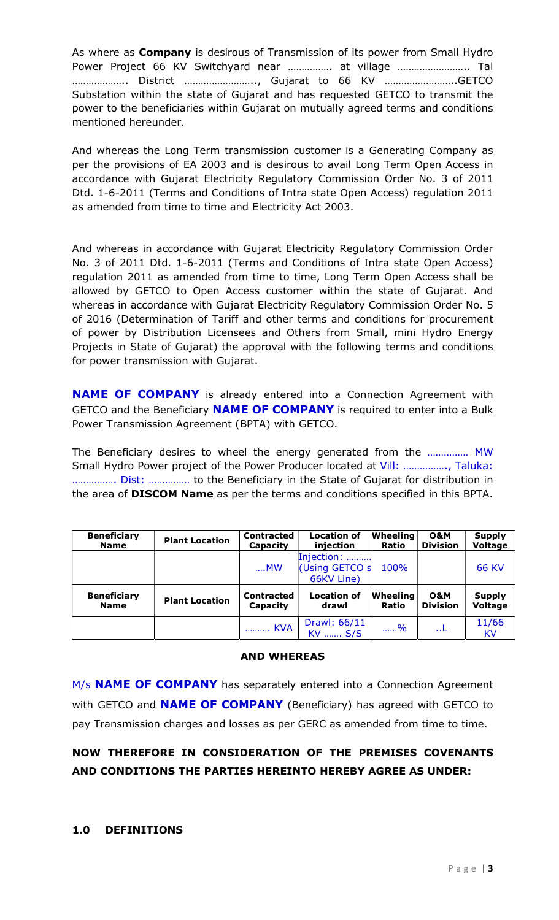As where as **Company** is desirous of Transmission of its power from Small Hydro Power Project 66 KV Switchyard near ……………. at village …………………….. Tal ……………….. District …………………….., Gujarat to 66 KV ……………………..GETCO Substation within the state of Gujarat and has requested GETCO to transmit the power to the beneficiaries within Gujarat on mutually agreed terms and conditions mentioned hereunder.

And whereas the Long Term transmission customer is a Generating Company as per the provisions of EA 2003 and is desirous to avail Long Term Open Access in accordance with Gujarat Electricity Regulatory Commission Order No. 3 of 2011 Dtd. 1-6-2011 (Terms and Conditions of Intra state Open Access) regulation 2011 as amended from time to time and Electricity Act 2003.

And whereas in accordance with Gujarat Electricity Regulatory Commission Order No. 3 of 2011 Dtd. 1-6-2011 (Terms and Conditions of Intra state Open Access) regulation 2011 as amended from time to time, Long Term Open Access shall be allowed by GETCO to Open Access customer within the state of Gujarat. And whereas in accordance with Gujarat Electricity Regulatory Commission Order No. 5 of 2016 (Determination of Tariff and other terms and conditions for procurement of power by Distribution Licensees and Others from Small, mini Hydro Energy Projects in State of Gujarat) the approval with the following terms and conditions for power transmission with Gujarat.

**NAME OF COMPANY** is already entered into a Connection Agreement with GETCO and the Beneficiary **NAME OF COMPANY** is required to enter into a Bulk Power Transmission Agreement (BPTA) with GETCO.

The Beneficiary desires to wheel the energy generated from the …………… MW Small Hydro Power project of the Power Producer located at Vill: ……………., Taluka: ……………. Dist: …………… to the Beneficiary in the State of Gujarat for distribution in the area of **DISCOM Name** as per the terms and conditions specified in this BPTA.

| <b>Beneficiary</b> | <b>Plant Location</b> | Contracted        | <b>Location of</b>                         | <b>Wheeling</b> | <b>O&amp;M</b>  | <b>Supply</b>      |
|--------------------|-----------------------|-------------------|--------------------------------------------|-----------------|-----------------|--------------------|
| <b>Name</b>        |                       | Capacity          | injection                                  | <b>Ratio</b>    | <b>Division</b> | <b>Voltage</b>     |
|                    |                       | $$ MW             | Injection:<br>(Using GETCO s<br>66KV Line) | 100%            |                 | <b>66 KV</b>       |
| <b>Beneficiary</b> | <b>Plant Location</b> | <b>Contracted</b> | <b>Location of</b>                         | <b>Wheeling</b> | <b>O&amp;M</b>  | <b>Supply</b>      |
| <b>Name</b>        |                       | Capacity          | drawl                                      | <b>Ratio</b>    | <b>Division</b> | <b>Voltage</b>     |
|                    |                       | . KVA             | Drawl: 66/11<br>KV  S/S                    | 96              | . . L           | 11/66<br><b>KV</b> |

#### AND WHEREAS

M/s **NAME OF COMPANY** has separately entered into a Connection Agreement with GETCO and **NAME OF COMPANY** (Beneficiary) has agreed with GETCO to pay Transmission charges and losses as per GERC as amended from time to time.

# NOW THEREFORE IN CONSIDERATION OF THE PREMISES COVENANTS AND CONDITIONS THE PARTIES HEREINTO HEREBY AGREE AS UNDER: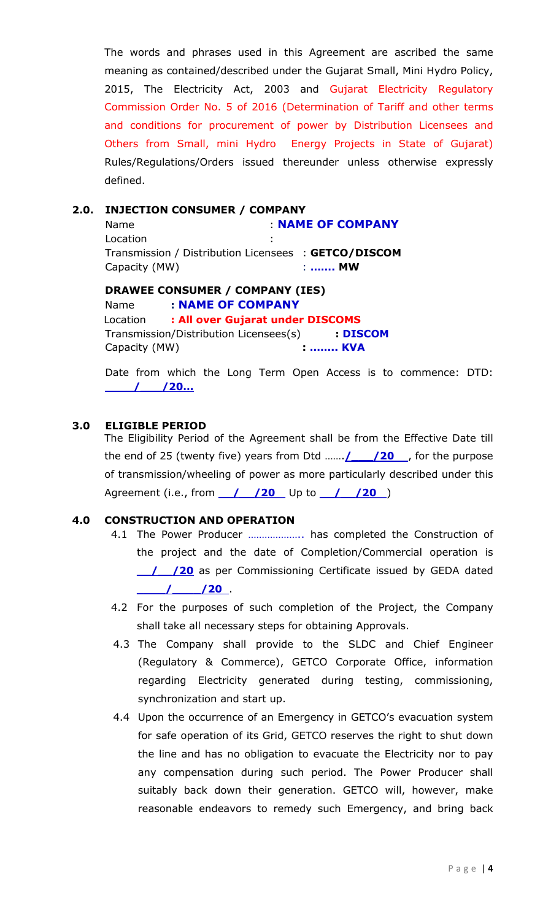The words and phrases used in this Agreement are ascribed the same meaning as contained/described under the Gujarat Small, Mini Hydro Policy, 2015, The Electricity Act, 2003 and Gujarat Electricity Regulatory Commission Order No. 5 of 2016 (Determination of Tariff and other terms and conditions for procurement of power by Distribution Licensees and Others from Small, mini Hydro Energy Projects in State of Gujarat) Rules/Regulations/Orders issued thereunder unless otherwise expressly defined.

## 2.0. INJECTION CONSUMER / COMPANY

Name : NAME OF COMPANY **Location** Transmission / Distribution Licensees : GETCO/DISCOM Capacity (MW)  $\cdot$  ....... MW

## DRAWEE CONSUMER / COMPANY (IES)

Name : NAME OF COMPANY Location : All over Gujarat under DISCOMS Transmission/Distribution Licensees(s) : DISCOM Capacity (MW) : ........ KVA

Date from which the Long Term Open Access is to commence: DTD: \_\_\_\_/\_\_\_/20…

#### 3.0 ELIGIBLE PERIOD

The Eligibility Period of the Agreement shall be from the Effective Date till the end of 25 (twenty five) years from Dtd ...... $\angle 20$ , for the purpose of transmission/wheeling of power as more particularly described under this Agreement (i.e., from  $\frac{1}{20}$  /20 Up to  $\frac{1}{20}$  /20 )

## 4.0 CONSTRUCTION AND OPERATION

- 4.1 The Power Producer ……………….. has completed the Construction of the project and the date of Completion/Commercial operation is 1 / / 20 as per Commissioning Certificate issued by GEDA dated  $\frac{1}{20}$
- 4.2 For the purposes of such completion of the Project, the Company shall take all necessary steps for obtaining Approvals.
- 4.3 The Company shall provide to the SLDC and Chief Engineer (Regulatory & Commerce), GETCO Corporate Office, information regarding Electricity generated during testing, commissioning, synchronization and start up.
- 4.4 Upon the occurrence of an Emergency in GETCO's evacuation system for safe operation of its Grid, GETCO reserves the right to shut down the line and has no obligation to evacuate the Electricity nor to pay any compensation during such period. The Power Producer shall suitably back down their generation. GETCO will, however, make reasonable endeavors to remedy such Emergency, and bring back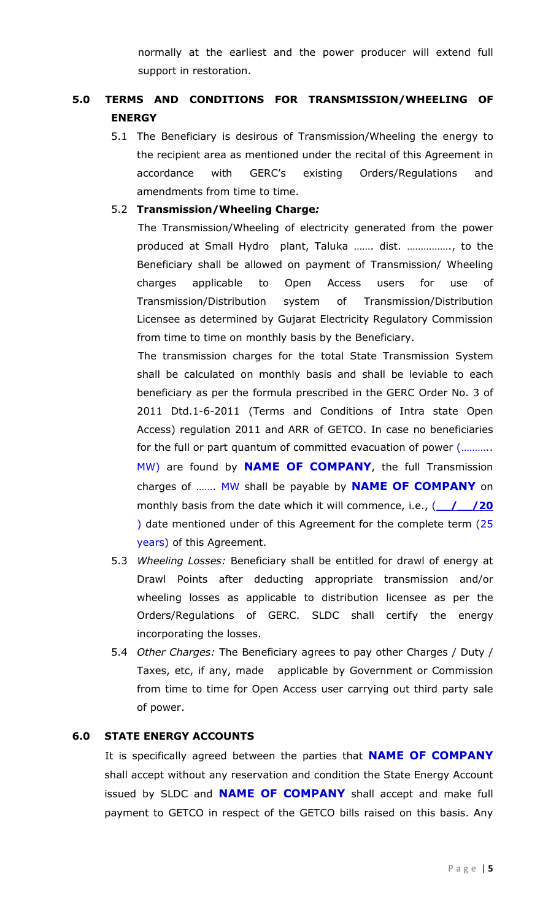normally at the earliest and the power producer will extend full support in restoration.

# 5.0 TERMS AND CONDITIONS FOR TRANSMISSION/WHEELING OF ENERGY

5.1 The Beneficiary is desirous of Transmission/Wheeling the energy to the recipient area as mentioned under the recital of this Agreement in accordance with GERC's existing Orders/Regulations and amendments from time to time.

## 5.2 Transmission/Wheeling Charge:

 The Transmission/Wheeling of electricity generated from the power produced at Small Hydro plant, Taluka ……. dist. ……………., to the Beneficiary shall be allowed on payment of Transmission/ Wheeling charges applicable to Open Access users for use of Transmission/Distribution system of Transmission/Distribution Licensee as determined by Gujarat Electricity Regulatory Commission from time to time on monthly basis by the Beneficiary.

 The transmission charges for the total State Transmission System shall be calculated on monthly basis and shall be leviable to each beneficiary as per the formula prescribed in the GERC Order No. 3 of 2011 Dtd.1-6-2011 (Terms and Conditions of Intra state Open Access) regulation 2011 and ARR of GETCO. In case no beneficiaries for the full or part quantum of committed evacuation of power (……….. MW) are found by **NAME OF COMPANY**, the full Transmission charges of ....... MW shall be payable by **NAME OF COMPANY** on monthly basis from the date which it will commence, i.e.,  $($   $/$   $/20$ ) date mentioned under of this Agreement for the complete term (25 years) of this Agreement.

- 5.3 Wheeling Losses: Beneficiary shall be entitled for drawl of energy at Drawl Points after deducting appropriate transmission and/or wheeling losses as applicable to distribution licensee as per the Orders/Regulations of GERC. SLDC shall certify the energy incorporating the losses.
- 5.4 Other Charges: The Beneficiary agrees to pay other Charges / Duty / Taxes, etc, if any, made applicable by Government or Commission from time to time for Open Access user carrying out third party sale of power.

# 6.0 STATE ENERGY ACCOUNTS

It is specifically agreed between the parties that **NAME OF COMPANY** shall accept without any reservation and condition the State Energy Account issued by SLDC and **NAME OF COMPANY** shall accept and make full payment to GETCO in respect of the GETCO bills raised on this basis. Any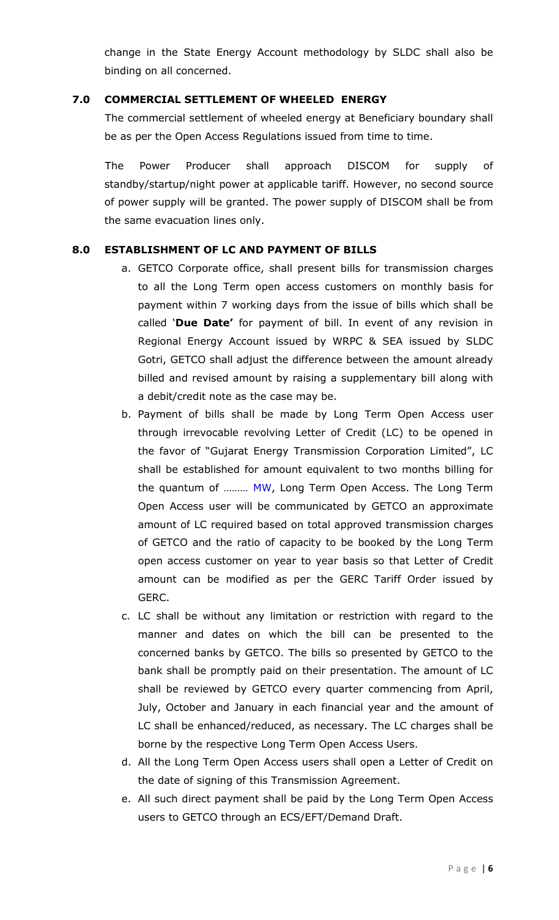change in the State Energy Account methodology by SLDC shall also be binding on all concerned.

## 7.0 COMMERCIAL SETTLEMENT OF WHEELED ENERGY

 The commercial settlement of wheeled energy at Beneficiary boundary shall be as per the Open Access Regulations issued from time to time.

 The Power Producer shall approach DISCOM for supply of standby/startup/night power at applicable tariff. However, no second source of power supply will be granted. The power supply of DISCOM shall be from the same evacuation lines only.

# 8.0 ESTABLISHMENT OF LC AND PAYMENT OF BILLS

- a. GETCO Corporate office, shall present bills for transmission charges to all the Long Term open access customers on monthly basis for payment within 7 working days from the issue of bills which shall be called 'Due Date' for payment of bill. In event of any revision in Regional Energy Account issued by WRPC & SEA issued by SLDC Gotri, GETCO shall adjust the difference between the amount already billed and revised amount by raising a supplementary bill along with a debit/credit note as the case may be.
- b. Payment of bills shall be made by Long Term Open Access user through irrevocable revolving Letter of Credit (LC) to be opened in the favor of "Gujarat Energy Transmission Corporation Limited", LC shall be established for amount equivalent to two months billing for the quantum of ……… MW, Long Term Open Access. The Long Term Open Access user will be communicated by GETCO an approximate amount of LC required based on total approved transmission charges of GETCO and the ratio of capacity to be booked by the Long Term open access customer on year to year basis so that Letter of Credit amount can be modified as per the GERC Tariff Order issued by GERC.
- c. LC shall be without any limitation or restriction with regard to the manner and dates on which the bill can be presented to the concerned banks by GETCO. The bills so presented by GETCO to the bank shall be promptly paid on their presentation. The amount of LC shall be reviewed by GETCO every quarter commencing from April, July, October and January in each financial year and the amount of LC shall be enhanced/reduced, as necessary. The LC charges shall be borne by the respective Long Term Open Access Users.
- d. All the Long Term Open Access users shall open a Letter of Credit on the date of signing of this Transmission Agreement.
- e. All such direct payment shall be paid by the Long Term Open Access users to GETCO through an ECS/EFT/Demand Draft.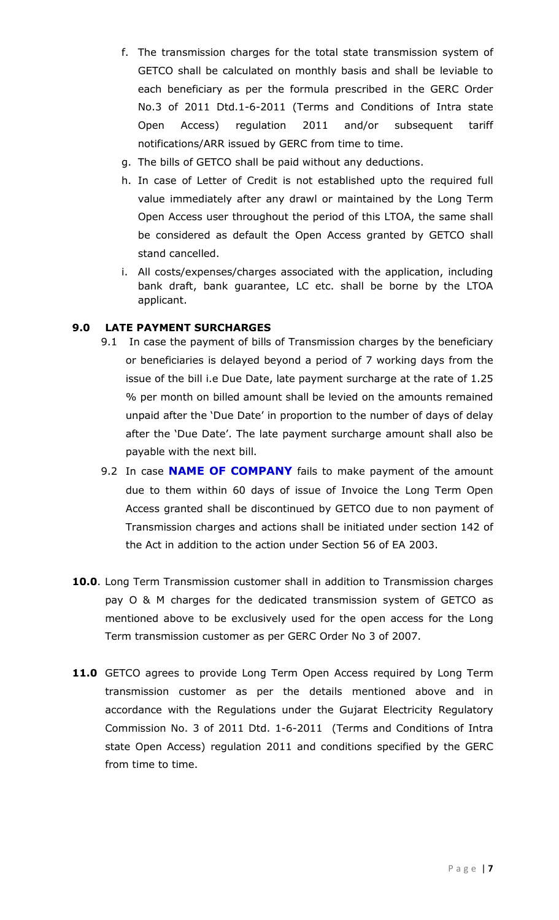- f. The transmission charges for the total state transmission system of GETCO shall be calculated on monthly basis and shall be leviable to each beneficiary as per the formula prescribed in the GERC Order No.3 of 2011 Dtd.1-6-2011 (Terms and Conditions of Intra state Open Access) regulation 2011 and/or subsequent tariff notifications/ARR issued by GERC from time to time.
- g. The bills of GETCO shall be paid without any deductions.
- h. In case of Letter of Credit is not established upto the required full value immediately after any drawl or maintained by the Long Term Open Access user throughout the period of this LTOA, the same shall be considered as default the Open Access granted by GETCO shall stand cancelled.
- i. All costs/expenses/charges associated with the application, including bank draft, bank guarantee, LC etc. shall be borne by the LTOA applicant.

# 9.0 LATE PAYMENT SURCHARGES

- 9.1 In case the payment of bills of Transmission charges by the beneficiary or beneficiaries is delayed beyond a period of 7 working days from the issue of the bill i.e Due Date, late payment surcharge at the rate of 1.25 % per month on billed amount shall be levied on the amounts remained unpaid after the 'Due Date' in proportion to the number of days of delay after the 'Due Date'. The late payment surcharge amount shall also be payable with the next bill.
- 9.2 In case **NAME OF COMPANY** fails to make payment of the amount due to them within 60 days of issue of Invoice the Long Term Open Access granted shall be discontinued by GETCO due to non payment of Transmission charges and actions shall be initiated under section 142 of the Act in addition to the action under Section 56 of EA 2003.
- 10.0. Long Term Transmission customer shall in addition to Transmission charges pay O & M charges for the dedicated transmission system of GETCO as mentioned above to be exclusively used for the open access for the Long Term transmission customer as per GERC Order No 3 of 2007.
- 11.0 GETCO agrees to provide Long Term Open Access required by Long Term transmission customer as per the details mentioned above and in accordance with the Regulations under the Gujarat Electricity Regulatory Commission No. 3 of 2011 Dtd. 1-6-2011 (Terms and Conditions of Intra state Open Access) regulation 2011 and conditions specified by the GERC from time to time.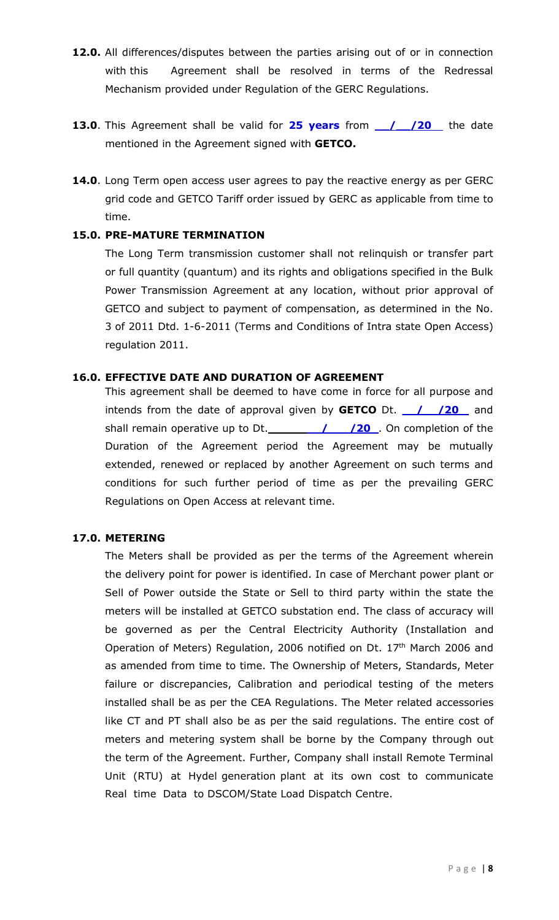- 12.0. All differences/disputes between the parties arising out of or in connection with this Agreement shall be resolved in terms of the Redressal Mechanism provided under Regulation of the GERC Regulations.
- 13.0. This Agreement shall be valid for 25 years from 1 / 20 the date mentioned in the Agreement signed with GETCO.
- 14.0. Long Term open access user agrees to pay the reactive energy as per GERC grid code and GETCO Tariff order issued by GERC as applicable from time to time.

## 15.0. PRE-MATURE TERMINATION

The Long Term transmission customer shall not relinquish or transfer part or full quantity (quantum) and its rights and obligations specified in the Bulk Power Transmission Agreement at any location, without prior approval of GETCO and subject to payment of compensation, as determined in the No. 3 of 2011 Dtd. 1-6-2011 (Terms and Conditions of Intra state Open Access) regulation 2011.

## 16.0. EFFECTIVE DATE AND DURATION OF AGREEMENT

This agreement shall be deemed to have come in force for all purpose and intends from the date of approval given by **GETCO** Dt.  $\frac{1}{20}$  and shall remain operative up to Dt.  $\sqrt{20}$  /  $\sqrt{20}$ . On completion of the Duration of the Agreement period the Agreement may be mutually extended, renewed or replaced by another Agreement on such terms and conditions for such further period of time as per the prevailing GERC Regulations on Open Access at relevant time.

# 17.0. METERING

The Meters shall be provided as per the terms of the Agreement wherein the delivery point for power is identified. In case of Merchant power plant or Sell of Power outside the State or Sell to third party within the state the meters will be installed at GETCO substation end. The class of accuracy will be governed as per the Central Electricity Authority (Installation and Operation of Meters) Regulation, 2006 notified on Dt. 17<sup>th</sup> March 2006 and as amended from time to time. The Ownership of Meters, Standards, Meter failure or discrepancies, Calibration and periodical testing of the meters installed shall be as per the CEA Regulations. The Meter related accessories like CT and PT shall also be as per the said regulations. The entire cost of meters and metering system shall be borne by the Company through out the term of the Agreement. Further, Company shall install Remote Terminal Unit (RTU) at Hydel generation plant at its own cost to communicate Real time Data to DSCOM/State Load Dispatch Centre.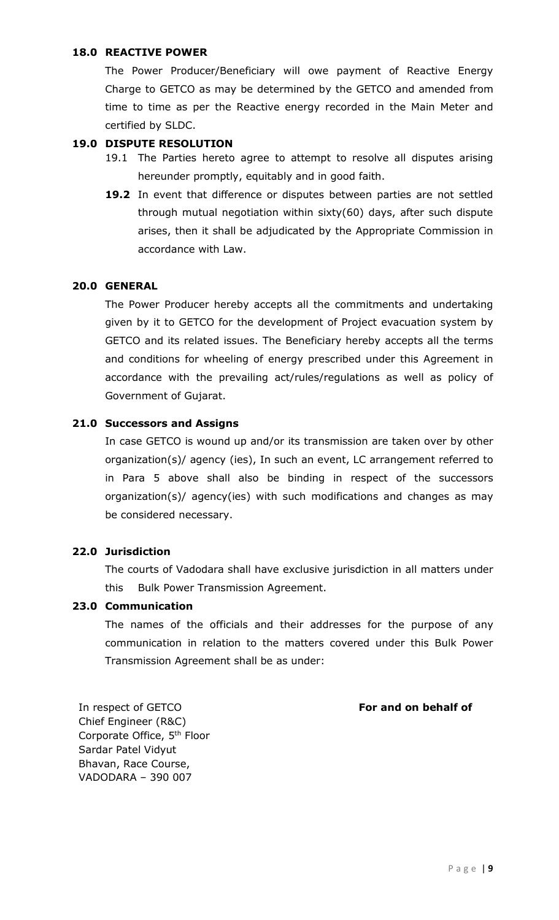## 18.0 REACTIVE POWER

The Power Producer/Beneficiary will owe payment of Reactive Energy Charge to GETCO as may be determined by the GETCO and amended from time to time as per the Reactive energy recorded in the Main Meter and certified by SLDC.

## 19.0 DISPUTE RESOLUTION

- 19.1 The Parties hereto agree to attempt to resolve all disputes arising hereunder promptly, equitably and in good faith.
- 19.2 In event that difference or disputes between parties are not settled through mutual negotiation within sixty(60) days, after such dispute arises, then it shall be adjudicated by the Appropriate Commission in accordance with Law.

## 20.0 GENERAL

The Power Producer hereby accepts all the commitments and undertaking given by it to GETCO for the development of Project evacuation system by GETCO and its related issues. The Beneficiary hereby accepts all the terms and conditions for wheeling of energy prescribed under this Agreement in accordance with the prevailing act/rules/regulations as well as policy of Government of Gujarat.

## 21.0 Successors and Assigns

In case GETCO is wound up and/or its transmission are taken over by other organization(s)/ agency (ies), In such an event, LC arrangement referred to in Para 5 above shall also be binding in respect of the successors organization(s)/ agency(ies) with such modifications and changes as may be considered necessary.

## 22.0 Jurisdiction

The courts of Vadodara shall have exclusive jurisdiction in all matters under this Bulk Power Transmission Agreement.

#### 23.0 Communication

The names of the officials and their addresses for the purpose of any communication in relation to the matters covered under this Bulk Power Transmission Agreement shall be as under:

For and on behalf of

In respect of GETCO Chief Engineer (R&C) Corporate Office, 5th Floor Sardar Patel Vidyut Bhavan, Race Course, VADODARA – 390 007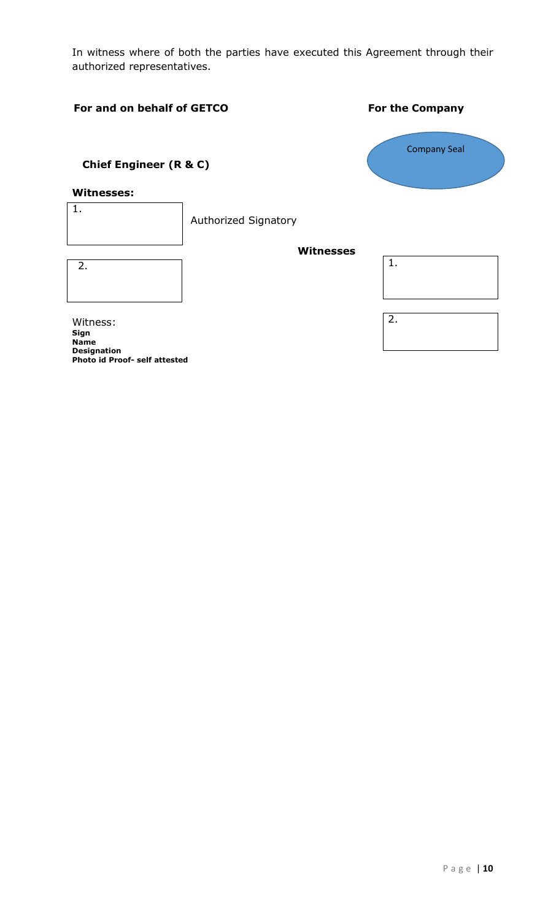In witness where of both the parties have executed this Agreement through their authorized representatives.

## For and on behalf of GETCO<br>
For the Company

# Chief Engineer (R & C)

#### Witnesses:

Authorized Signatory 1.

| -2. |  |  |  |
|-----|--|--|--|
|     |  |  |  |
|     |  |  |  |
|     |  |  |  |
|     |  |  |  |
|     |  |  |  |

Witness: Sign Name Designation Photo id Proof- self attested

| <b>Company Seal</b> |  |
|---------------------|--|
|                     |  |

Witnesses

| 2. |  |  |  |
|----|--|--|--|
|    |  |  |  |
|    |  |  |  |
|    |  |  |  |